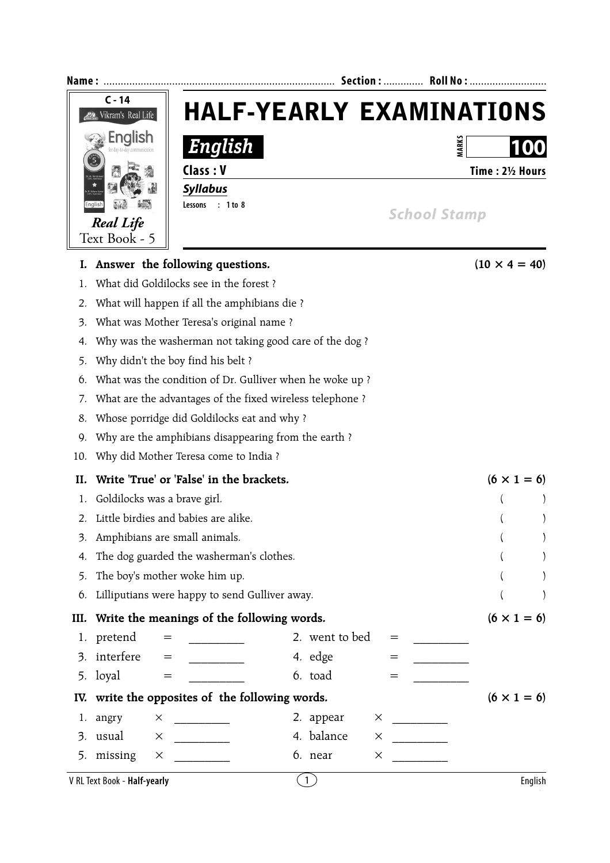| Name : |                                                | Section :  Roll No :                                      |                |                     |                      |  |
|--------|------------------------------------------------|-----------------------------------------------------------|----------------|---------------------|----------------------|--|
|        | $C - 14$<br>Vikram's Real Life                 | <b>HALF-YEARLY EXAMINATIONS</b>                           |                |                     |                      |  |
|        | <b>English</b>                                 | English                                                   |                |                     | MARKS<br>100         |  |
|        | $\overline{5}$<br>Class: V                     |                                                           |                |                     | Time: 21/2 Hours     |  |
|        | <b>Syllabus</b>                                |                                                           |                |                     |                      |  |
|        | Lessons<br>Englisl                             | $: 1$ to $8$                                              |                | <b>School Stamp</b> |                      |  |
|        | <b>Real Life</b><br>Text Book - 5              |                                                           |                |                     |                      |  |
| I.     | Answer the following questions.                |                                                           |                |                     | $(10 \times 4 = 40)$ |  |
| 1.     | What did Goldilocks see in the forest?         |                                                           |                |                     |                      |  |
| 2.     | What will happen if all the amphibians die ?   |                                                           |                |                     |                      |  |
| 3.     | What was Mother Teresa's original name?        |                                                           |                |                     |                      |  |
| 4.     |                                                | Why was the washerman not taking good care of the dog?    |                |                     |                      |  |
| 5.     | Why didn't the boy find his belt ?             |                                                           |                |                     |                      |  |
| 6.     |                                                | What was the condition of Dr. Gulliver when he woke up?   |                |                     |                      |  |
| 7.     |                                                | What are the advantages of the fixed wireless telephone ? |                |                     |                      |  |
| 8.     | Whose porridge did Goldilocks eat and why?     |                                                           |                |                     |                      |  |
| 9.     |                                                | Why are the amphibians disappearing from the earth?       |                |                     |                      |  |
| 10.    | Why did Mother Teresa come to India ?          |                                                           |                |                     |                      |  |
| II.    | Write 'True' or 'False' in the brackets.       |                                                           |                |                     | $(6 \times 1 = 6)$   |  |
| 1.     | Goldilocks was a brave girl.                   |                                                           |                |                     |                      |  |
| 2.     | Little birdies and babies are alike.           |                                                           |                |                     |                      |  |
| 3.     | Amphibians are small animals.                  |                                                           |                |                     |                      |  |
| 4.     | The dog guarded the washerman's clothes.       |                                                           |                |                     |                      |  |
| 5.     | The boy's mother woke him up.                  |                                                           |                |                     |                      |  |
| 6.     | Lilliputians were happy to send Gulliver away. |                                                           |                |                     |                      |  |
| III.   |                                                | Write the meanings of the following words.                |                |                     | $(6 \times 1 = 6)$   |  |
| 1.     | pretend<br>$=$                                 |                                                           | 2. went to bed | $=$                 |                      |  |
| 3.     | interfere<br>$=$                               | 4. edge                                                   |                |                     |                      |  |
| 5.     | loyal<br>$=$                                   | 6. toad                                                   |                |                     |                      |  |
| IV.    |                                                | write the opposites of the following words.               |                |                     | $(6 \times 1 = 6)$   |  |
| 1.     | angry<br>X<br><u> 1989 - Jan Jawa</u>          | 2. appear                                                 | ×              |                     |                      |  |
| 3.     | usual<br>X                                     | 4. balance                                                | X              |                     |                      |  |
|        | 5. missing<br>X                                | 6. near                                                   | X              |                     |                      |  |
|        | V RL Text Book - Half-yearly                   | $\left(1\right)$                                          |                |                     | English              |  |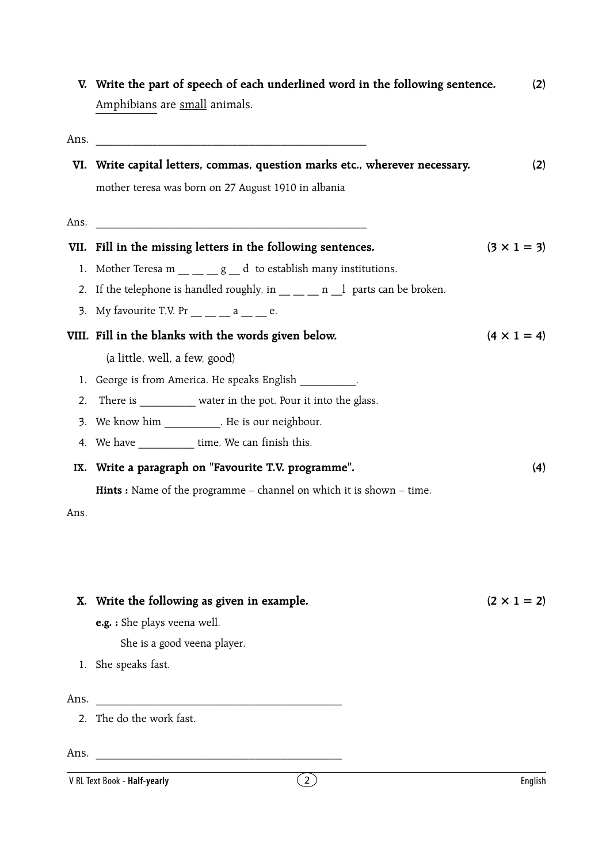|                | V. Write the part of speech of each underlined word in the following sentence.<br>Amphibians are small animals.                    | (2)                |  |  |  |
|----------------|------------------------------------------------------------------------------------------------------------------------------------|--------------------|--|--|--|
|                |                                                                                                                                    |                    |  |  |  |
|                | VI. Write capital letters, commas, question marks etc., wherever necessary.                                                        |                    |  |  |  |
|                | mother teresa was born on 27 August 1910 in albania                                                                                |                    |  |  |  |
| Ans.           |                                                                                                                                    |                    |  |  |  |
|                | VII. Fill in the missing letters in the following sentences.                                                                       | $(3 \times 1 = 3)$ |  |  |  |
|                | 1. Mother Teresa m $\underline{\qquad}$ = $\underline{\qquad}$ g $\underline{\qquad}$ d to establish many institutions.            |                    |  |  |  |
|                | 2. If the telephone is handled roughly, in $\rule{1em}{0.15mm}$ = $\rule{1em}{0.15mm}$ n $\rule{1em}{0.15mm}$ parts can be broken. |                    |  |  |  |
|                | 3. My favourite T.V. Pr $\_\_$ $\_\_$ a $\_\_$ e.                                                                                  |                    |  |  |  |
|                | VIII. Fill in the blanks with the words given below.<br>$(4 \times 1 = 4)$                                                         |                    |  |  |  |
|                | (a little, well, a few, good)                                                                                                      |                    |  |  |  |
|                | 1. George is from America. He speaks English _________.                                                                            |                    |  |  |  |
| 2.             | There is ___________ water in the pot. Pour it into the glass.                                                                     |                    |  |  |  |
| 3.             | We know him ___________. He is our neighbour.                                                                                      |                    |  |  |  |
|                | 4. We have _____________ time. We can finish this.                                                                                 |                    |  |  |  |
|                | IX. Write a paragraph on "Favourite T.V. programme".                                                                               |                    |  |  |  |
|                | <b>Hints</b> : Name of the programme $-$ channel on which it is shown $-$ time.                                                    |                    |  |  |  |
| Ans.           |                                                                                                                                    |                    |  |  |  |
|                |                                                                                                                                    |                    |  |  |  |
| Х.             | Write the following as given in example.                                                                                           | $(2 \times 1 = 2)$ |  |  |  |
|                | e.g. : She plays veena well.                                                                                                       |                    |  |  |  |
|                | She is a good veena player.                                                                                                        |                    |  |  |  |
|                | 1. She speaks fast.                                                                                                                |                    |  |  |  |
| Ans.           | <u> 1980 - Jan Barnett, martin filozof eta idazlea (</u>                                                                           |                    |  |  |  |
| 2 <sub>1</sub> | The do the work fast.                                                                                                              |                    |  |  |  |
| Ans.           |                                                                                                                                    |                    |  |  |  |
|                | $\left(2\right)$<br>V RL Text Book - Half-yearly                                                                                   | English            |  |  |  |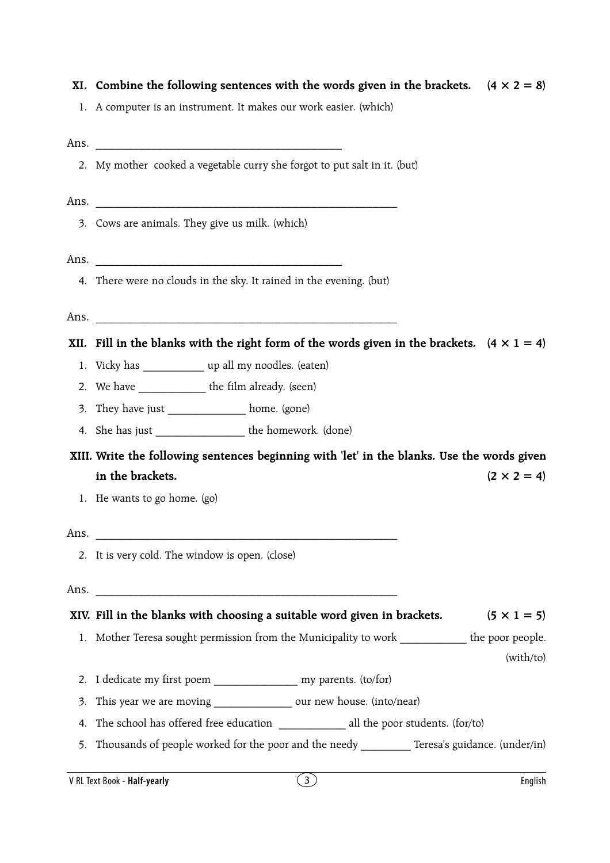**XI.** Combine the following sentences with the words given in the brackets.  $(4 \times 2 = 8)$ 

1. A computer is an instrument. It makes our work easier. (which)

Ans.

2. My mother cooked a vegetable curry she forgot to put salt in it. (but)

Ans.

3. Cows are animals. They give us milk. (which)

Ans.

4. There were no clouds in the sky. It rained in the evening. (but)

Ans.

**XII.** Fill in the blanks with the right form of the words given in the brackets.  $(4 \times 1 = 4)$ 

- 1. Vicky has  $up$ all my noodles. (eaten)
- 2. We have the film already. (seen)
- 3. They have just home. (gone)
- 4. She has just \_\_\_\_\_\_\_\_\_\_\_\_\_\_\_\_\_\_\_\_ the homework. (done)

 **XIII. Write the following sentences beginning with 'let' in the blanks. Use the words given** in the brackets.  $(2 \times 2 = 4)$ 

1. He wants to go home. (go)

## Ans.

2. It is very cold. The window is open. (close)

Ans.  $\Box$ 

## **XIV.** Fill in the blanks with choosing a suitable word given in brackets.  $(5 \times 1 = 5)$

1. Mother Teresa sought permission from the Municipality to work the poor people.

(with/to)

- 2. I dedicate my first poem my parents. (to/for)
- 3. This year we are moving \_\_\_\_\_\_\_\_\_\_\_\_\_\_\_\_\_ our new house. (into/near)
- 4. The school has offered free education all the poor students. (for/to)
- 5. Thousands of people worked for the poor and the needy Teresa's guidance. (under/in)